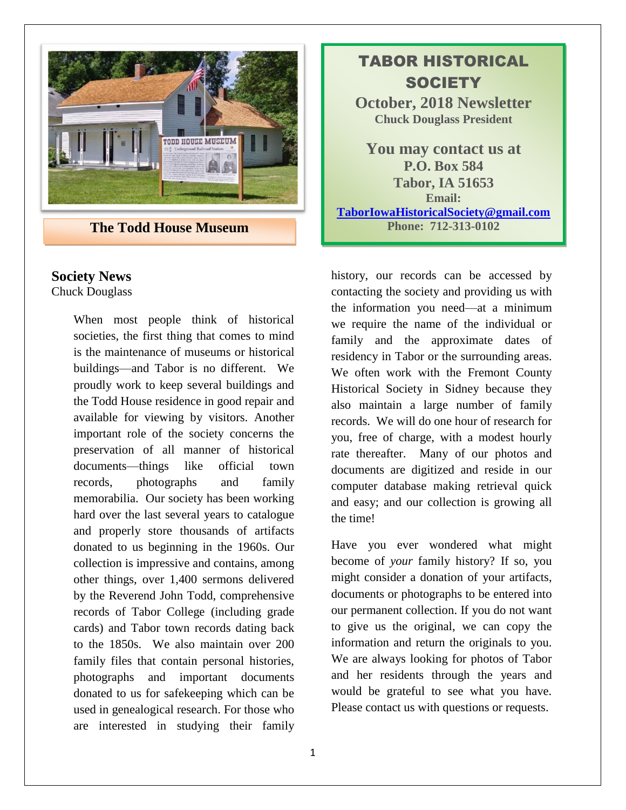

**The Todd House Museum 19 20 12:313-0102** 

### **Society News**

Chuck Douglass

When most people think of historical societies, the first thing that comes to mind is the maintenance of museums or historical buildings—and Tabor is no different. We proudly work to keep several buildings and the Todd House residence in good repair and available for viewing by visitors. Another important role of the society concerns the preservation of all manner of historical documents—things like official town records, photographs and family memorabilia. Our society has been working hard over the last several years to catalogue and properly store thousands of artifacts donated to us beginning in the 1960s. Our collection is impressive and contains, among other things, over 1,400 sermons delivered by the Reverend John Todd, comprehensive records of Tabor College (including grade cards) and Tabor town records dating back to the 1850s. We also maintain over 200 family files that contain personal histories, photographs and important documents donated to us for safekeeping which can be used in genealogical research. For those who are interested in studying their family

# TABOR HISTORICAL **SOCIETY October, 2018 Newsletter Chuck Douglass President You may contact us at P.O. Box 584 Tabor, IA 51653 Email: [TaborIowaHistoricalSociety@gmail.com](mailto:TaborIowaHistoricalSociety@gmail.com)**

history, our records can be accessed by contacting the society and providing us with the information you need—at a minimum we require the name of the individual or family and the approximate dates of residency in Tabor or the surrounding areas. We often work with the Fremont County Historical Society in Sidney because they also maintain a large number of family records. We will do one hour of research for you, free of charge, with a modest hourly rate thereafter. Many of our photos and documents are digitized and reside in our computer database making retrieval quick and easy; and our collection is growing all the time!

Have you ever wondered what might become of *your* family history? If so, you might consider a donation of your artifacts, documents or photographs to be entered into our permanent collection. If you do not want to give us the original, we can copy the information and return the originals to you. We are always looking for photos of Tabor and her residents through the years and would be grateful to see what you have. Please contact us with questions or requests.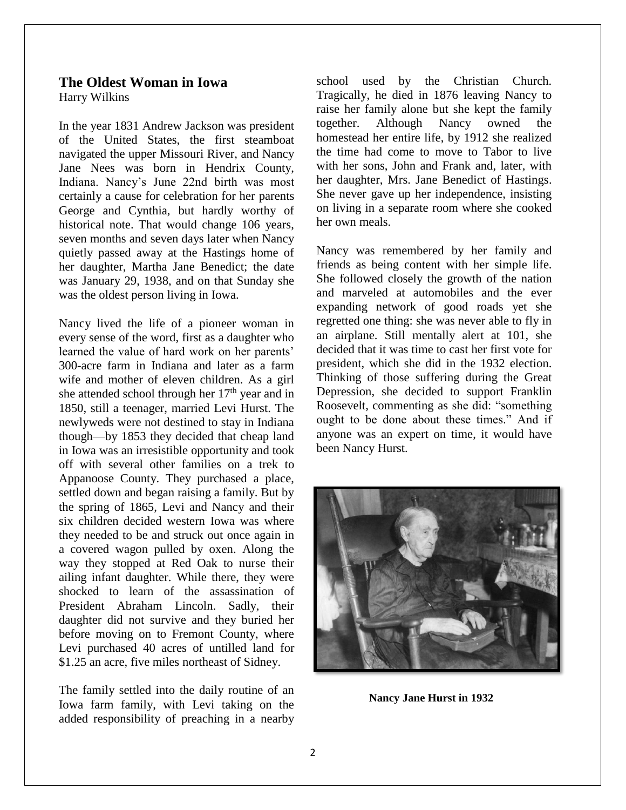#### **The Oldest Woman in Iowa** Harry Wilkins

In the year 1831 Andrew Jackson was president of the United States, the first steamboat navigated the upper Missouri River, and Nancy Jane Nees was born in Hendrix County, Indiana. Nancy's June 22nd birth was most certainly a cause for celebration for her parents George and Cynthia, but hardly worthy of historical note. That would change 106 years, seven months and seven days later when Nancy quietly passed away at the Hastings home of her daughter, Martha Jane Benedict; the date was January 29, 1938, and on that Sunday she was the oldest person living in Iowa.

Nancy lived the life of a pioneer woman in every sense of the word, first as a daughter who learned the value of hard work on her parents' 300-acre farm in Indiana and later as a farm wife and mother of eleven children. As a girl she attended school through her  $17<sup>th</sup>$  year and in 1850, still a teenager, married Levi Hurst. The newlyweds were not destined to stay in Indiana though—by 1853 they decided that cheap land in Iowa was an irresistible opportunity and took off with several other families on a trek to Appanoose County. They purchased a place, settled down and began raising a family. But by the spring of 1865, Levi and Nancy and their six children decided western Iowa was where they needed to be and struck out once again in a covered wagon pulled by oxen. Along the way they stopped at Red Oak to nurse their ailing infant daughter. While there, they were shocked to learn of the assassination of President Abraham Lincoln. Sadly, their daughter did not survive and they buried her before moving on to Fremont County, where Levi purchased 40 acres of untilled land for \$1.25 an acre, five miles northeast of Sidney.

The family settled into the daily routine of an Iowa farm family, with Levi taking on the added responsibility of preaching in a nearby

school used by the Christian Church. Tragically, he died in 1876 leaving Nancy to raise her family alone but she kept the family together. Although Nancy owned the homestead her entire life, by 1912 she realized the time had come to move to Tabor to live with her sons, John and Frank and, later, with her daughter, Mrs. Jane Benedict of Hastings. She never gave up her independence, insisting on living in a separate room where she cooked her own meals.

Nancy was remembered by her family and friends as being content with her simple life. She followed closely the growth of the nation and marveled at automobiles and the ever expanding network of good roads yet she regretted one thing: she was never able to fly in an airplane. Still mentally alert at 101, she decided that it was time to cast her first vote for president, which she did in the 1932 election. Thinking of those suffering during the Great Depression, she decided to support Franklin Roosevelt, commenting as she did: "something ought to be done about these times." And if anyone was an expert on time, it would have been Nancy Hurst.



**Nancy Jane Hurst in 1932**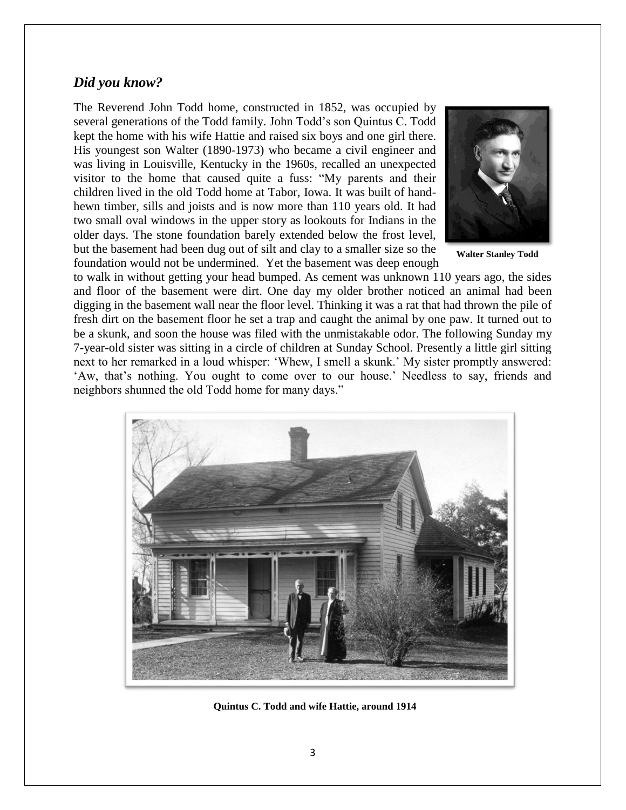#### *Did you know?*

The Reverend John Todd home, constructed in 1852, was occupied by several generations of the Todd family. John Todd's son Quintus C. Todd kept the home with his wife Hattie and raised six boys and one girl there. His youngest son Walter (1890-1973) who became a civil engineer and was living in Louisville, Kentucky in the 1960s, recalled an unexpected visitor to the home that caused quite a fuss: "My parents and their children lived in the old Todd home at Tabor, Iowa. It was built of handhewn timber, sills and joists and is now more than 110 years old. It had two small oval windows in the upper story as lookouts for Indians in the older days. The stone foundation barely extended below the frost level, but the basement had been dug out of silt and clay to a smaller size so the foundation would not be undermined. Yet the basement was deep enough



**Walter Stanley Todd**

to walk in without getting your head bumped. As cement was unknown 110 years ago, the sides and floor of the basement were dirt. One day my older brother noticed an animal had been digging in the basement wall near the floor level. Thinking it was a rat that had thrown the pile of fresh dirt on the basement floor he set a trap and caught the animal by one paw. It turned out to be a skunk, and soon the house was filed with the unmistakable odor. The following Sunday my 7-year-old sister was sitting in a circle of children at Sunday School. Presently a little girl sitting next to her remarked in a loud whisper: 'Whew, I smell a skunk.' My sister promptly answered: 'Aw, that's nothing. You ought to come over to our house.' Needless to say, friends and neighbors shunned the old Todd home for many days."



**Quintus C. Todd and wife Hattie, around 1914**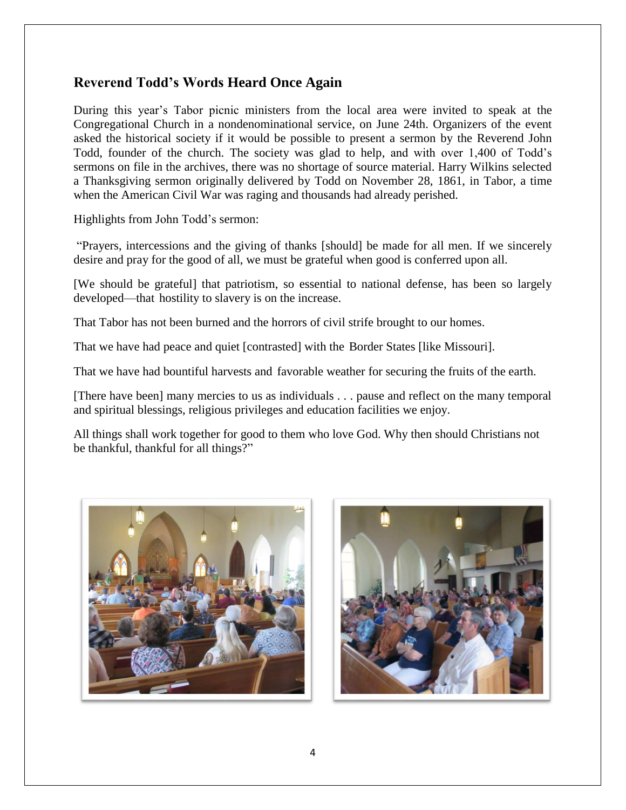# **Reverend Todd's Words Heard Once Again**

During this year's Tabor picnic ministers from the local area were invited to speak at the Congregational Church in a nondenominational service, on June 24th. Organizers of the event asked the historical society if it would be possible to present a sermon by the Reverend John Todd, founder of the church. The society was glad to help, and with over 1,400 of Todd's sermons on file in the archives, there was no shortage of source material. Harry Wilkins selected a Thanksgiving sermon originally delivered by Todd on November 28, 1861, in Tabor, a time when the American Civil War was raging and thousands had already perished.

Highlights from John Todd's sermon:

"Prayers, intercessions and the giving of thanks [should] be made for all men. If we sincerely desire and pray for the good of all, we must be grateful when good is conferred upon all.

[We should be grateful] that patriotism, so essential to national defense, has been so largely developed—that hostility to slavery is on the increase.

That Tabor has not been burned and the horrors of civil strife brought to our homes.

That we have had peace and quiet [contrasted] with the Border States [like Missouri].

That we have had bountiful harvests and favorable weather for securing the fruits of the earth.

[There have been] many mercies to us as individuals . . . pause and reflect on the many temporal and spiritual blessings, religious privileges and education facilities we enjoy.

All things shall work together for good to them who love God. Why then should Christians not be thankful, thankful for all things?"



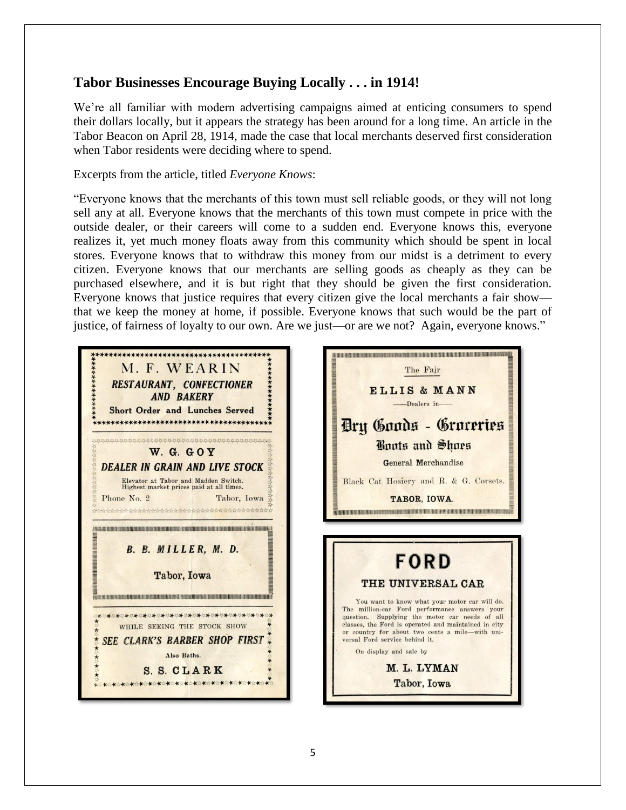### **Tabor Businesses Encourage Buying Locally . . . in 1914!**

We're all familiar with modern advertising campaigns aimed at enticing consumers to spend their dollars locally, but it appears the strategy has been around for a long time. An article in the Tabor Beacon on April 28, 1914, made the case that local merchants deserved first consideration when Tabor residents were deciding where to spend.

#### Excerpts from the article, titled *Everyone Knows*:

"Everyone knows that the merchants of this town must sell reliable goods, or they will not long sell any at all. Everyone knows that the merchants of this town must compete in price with the outside dealer, or their careers will come to a sudden end. Everyone knows this, everyone realizes it, yet much money floats away from this community which should be spent in local stores. Everyone knows that to withdraw this money from our midst is a detriment to every citizen. Everyone knows that our merchants are selling goods as cheaply as they can be purchased elsewhere, and it is but right that they should be given the first consideration. Everyone knows that justice requires that every citizen give the local merchants a fair show that we keep the money at home, if possible. Everyone knows that such would be the part of justice, of fairness of loyalty to our own. Are we just—or are we not? Again, everyone knows."